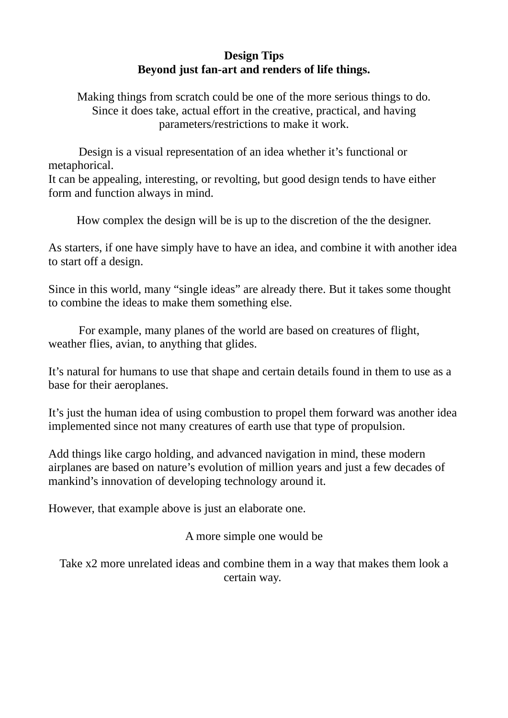## **Design Tips Beyond just fan-art and renders of life things.**

Making things from scratch could be one of the more serious things to do. Since it does take, actual effort in the creative, practical, and having parameters/restrictions to make it work.

Design is a visual representation of an idea whether it's functional or metaphorical.

It can be appealing, interesting, or revolting, but good design tends to have either form and function always in mind.

How complex the design will be is up to the discretion of the the designer.

As starters, if one have simply have to have an idea, and combine it with another idea to start off a design.

Since in this world, many "single ideas" are already there. But it takes some thought to combine the ideas to make them something else.

For example, many planes of the world are based on creatures of flight, weather flies, avian, to anything that glides.

It's natural for humans to use that shape and certain details found in them to use as a base for their aeroplanes.

It's just the human idea of using combustion to propel them forward was another idea implemented since not many creatures of earth use that type of propulsion.

Add things like cargo holding, and advanced navigation in mind, these modern airplanes are based on nature's evolution of million years and just a few decades of mankind's innovation of developing technology around it.

However, that example above is just an elaborate one.

A more simple one would be

Take x2 more unrelated ideas and combine them in a way that makes them look a certain way.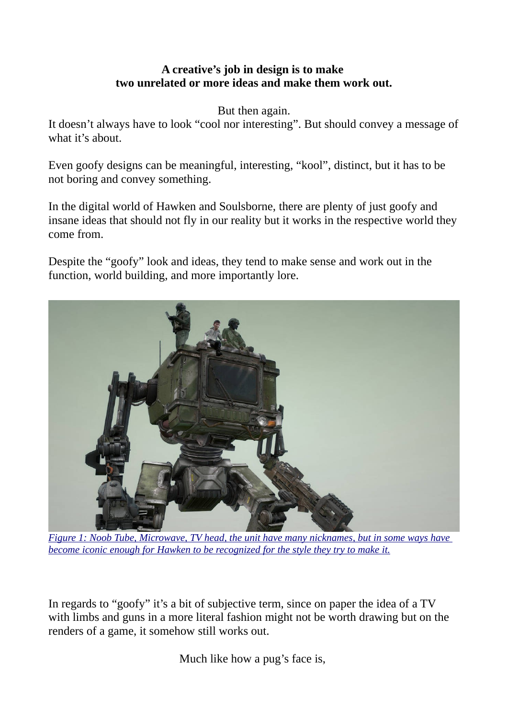## **A creative's job in design is to make two unrelated or more ideas and make them work out.**

But then again.

It doesn't always have to look "cool nor interesting". But should convey a message of what it's about.

Even goofy designs can be meaningful, interesting, "kool", distinct, but it has to be not boring and convey something.

In the digital world of Hawken and Soulsborne, there are plenty of just goofy and insane ideas that should not fly in our reality but it works in the respective world they come from.

Despite the "goofy" look and ideas, they tend to make sense and work out in the function, world building, and more importantly lore.



*Figure 1: Noob Tube, Microwave, TV head, the unit have many nicknames, but in some ways have become iconic enough for Hawken to be recognized for the style they try to make it.* 

In regards to "goofy" it's a bit of subjective term, since on paper the idea of a TV with limbs and guns in a more literal fashion might not be worth drawing but on the renders of a game, it somehow still works out.

Much like how a pug's face is,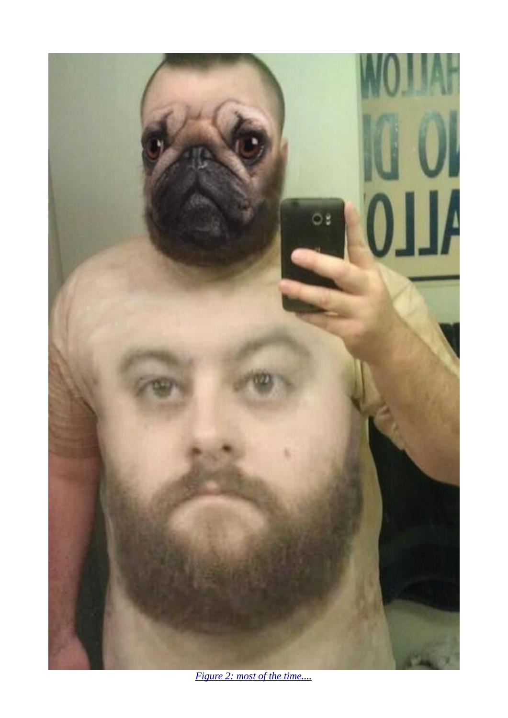

Figure 2: most of the time....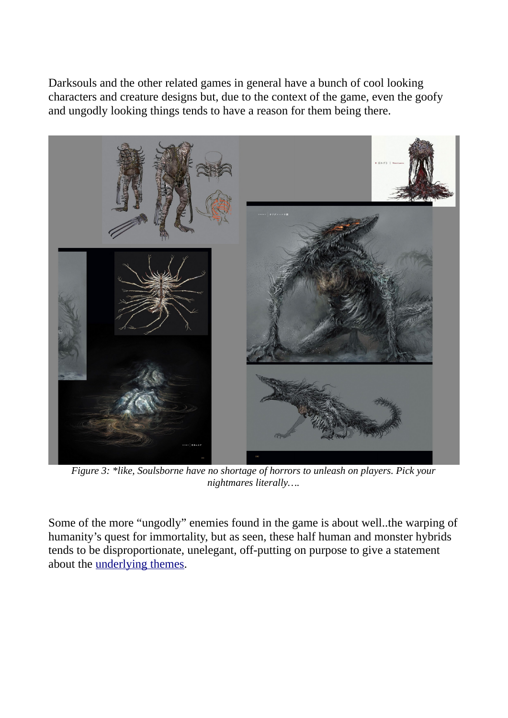Darksouls and the other related games in general have a bunch of cool looking characters and creature designs but, due to the context of the game, even the goofy and ungodly looking things tends to have a reason for them being there.



*Figure 3: \*like, Soulsborne have no shortage of horrors to unleash on players. Pick your nightmares literally….*

Some of the more "ungodly" enemies found in the game is about well..the warping of humanity's quest for immortality, but as seen, these half human and monster hybrids tends to be disproportionate, unelegant, off-putting on purpose to give a statement about the [underlying themes.](https://www.youtube.com/watch?v=QpV2IYSuMp8)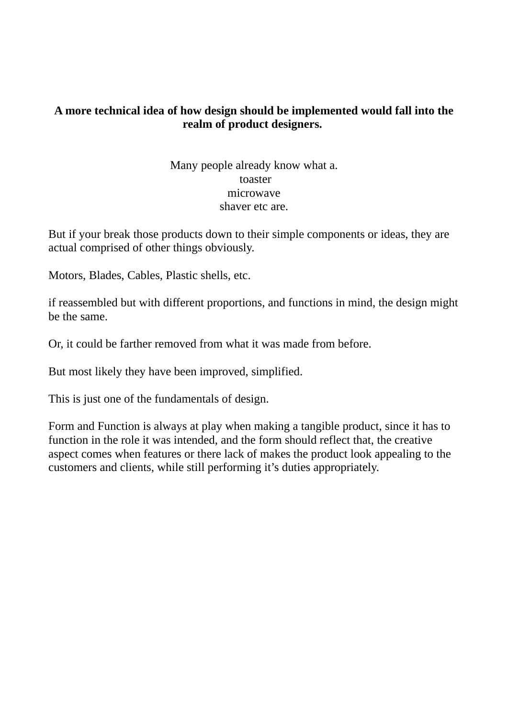## **A more technical idea of how design should be implemented would fall into the realm of product designers.**

Many people already know what a. toaster microwave shaver etc are.

But if your break those products down to their simple components or ideas, they are actual comprised of other things obviously.

Motors, Blades, Cables, Plastic shells, etc.

if reassembled but with different proportions, and functions in mind, the design might be the same.

Or, it could be farther removed from what it was made from before.

But most likely they have been improved, simplified.

This is just one of the fundamentals of design.

Form and Function is always at play when making a tangible product, since it has to function in the role it was intended, and the form should reflect that, the creative aspect comes when features or there lack of makes the product look appealing to the customers and clients, while still performing it's duties appropriately.